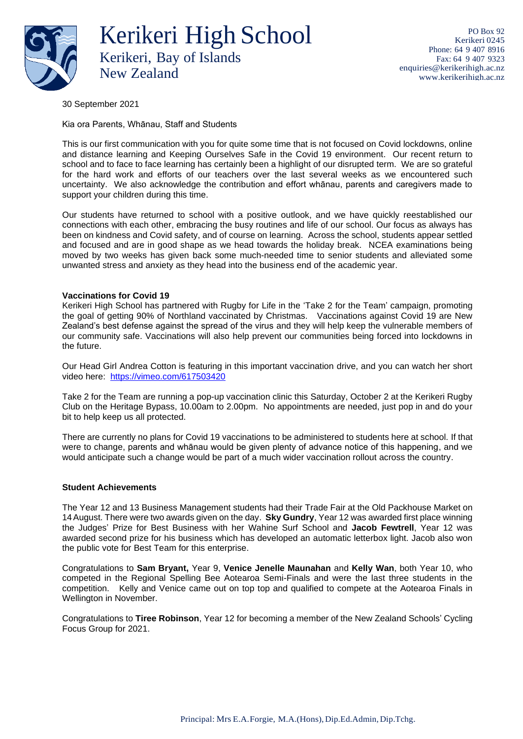

Kerikeri High School Kerikeri, Bay of Islands New Zealand

PO Box 92 Kerikeri 0245 Phone: 64 9 407 8916 Fax: 64 9 407 9323 [enquiries@kerikerihigh.ac.nz](mailto:enquiries@kerikerihigh.ac.nz) [www.kerikerihigh.ac.nz](http://www.kerikerihigh.ac.nz/)

30 September 2021

Kia ora Parents, Whānau, Staff and Students

This is our first communication with you for quite some time that is not focused on Covid lockdowns, online and distance learning and Keeping Ourselves Safe in the Covid 19 environment. Our recent return to school and to face to face learning has certainly been a highlight of our disrupted term. We are so grateful for the hard work and efforts of our teachers over the last several weeks as we encountered such uncertainty. We also acknowledge the contribution and effort whānau, parents and caregivers made to support your children during this time.

Our students have returned to school with a positive outlook, and we have quickly reestablished our connections with each other, embracing the busy routines and life of our school. Our focus as always has been on kindness and Covid safety, and of course on learning. Across the school, students appear settled and focused and are in good shape as we head towards the holiday break. NCEA examinations being moved by two weeks has given back some much-needed time to senior students and alleviated some unwanted stress and anxiety as they head into the business end of the academic year.

# **Vaccinations for Covid 19**

Kerikeri High School has partnered with Rugby for Life in the 'Take 2 for the Team' campaign, promoting the goal of getting 90% of Northland vaccinated by Christmas. Vaccinations against Covid 19 are New Zealand's best defense against the spread of the virus and they will help keep the vulnerable members of our community safe. Vaccinations will also help prevent our communities being forced into lockdowns in the future.

Our Head Girl Andrea Cotton is featuring in this important vaccination drive, and you can watch her short video here: <https://vimeo.com/617503420>

Take 2 for the Team are running a pop-up vaccination clinic this Saturday, October 2 at the Kerikeri Rugby Club on the Heritage Bypass, 10.00am to 2.00pm. No appointments are needed, just pop in and do your bit to help keep us all protected.

There are currently no plans for Covid 19 vaccinations to be administered to students here at school. If that were to change, parents and whānau would be given plenty of advance notice of this happening, and we would anticipate such a change would be part of a much wider vaccination rollout across the country.

# **Student Achievements**

The Year 12 and 13 Business Management students had their Trade Fair at the Old Packhouse Market on 14August. There were two awards given on the day. **Sky Gundry**, Year 12 was awarded first place winning the Judges' Prize for Best Business with her Wahine Surf School and **Jacob Fewtrell**, Year 12 was awarded second prize for his business which has developed an automatic letterbox light. Jacob also won the public vote for Best Team for this enterprise.

Congratulations to **Sam Bryant,** Year 9, **Venice Jenelle Maunahan** and **Kelly Wan**, both Year 10, who competed in the Regional Spelling Bee Aotearoa Semi-Finals and were the last three students in the competition. Kelly and Venice came out on top top and qualified to compete at the Aotearoa Finals in Wellington in November.

Congratulations to **Tiree Robinson**, Year 12 for becoming a member of the New Zealand Schools' Cycling Focus Group for 2021.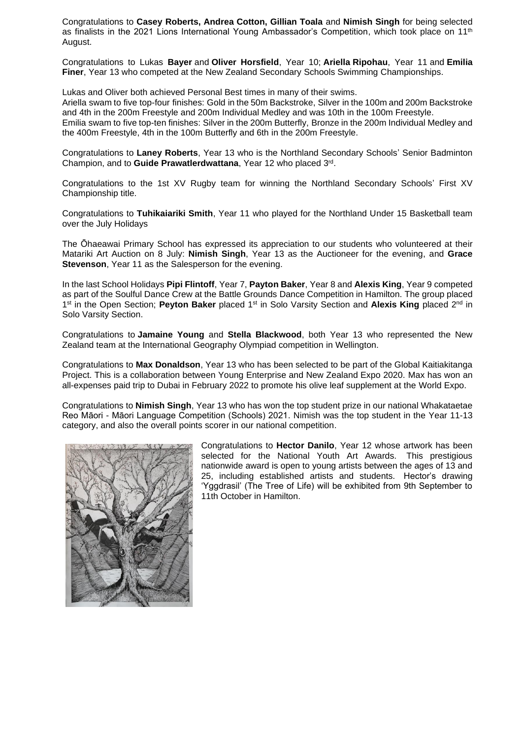Congratulations to **Casey Roberts, Andrea Cotton, Gillian Toala** and **Nimish Singh** for being selected as finalists in the 2021 Lions International Young Ambassador's Competition, which took place on 11<sup>th</sup> August.

Congratulations to Lukas **Bayer** and **Oliver Horsfield**, Year 10; **Ariella Ripohau**, Year 11 and **Emilia Finer**, Year 13 who competed at the New Zealand Secondary Schools Swimming Championships.

Lukas and Oliver both achieved Personal Best times in many of their swims.

Ariella swam to five top-four finishes: Gold in the 50m Backstroke, Silver in the 100m and 200m Backstroke and 4th in the 200m Freestyle and 200m Individual Medley and was 10th in the 100m Freestyle. Emilia swam to five top-ten finishes: Silver in the 200m Butterfly, Bronze in the 200m Individual Medley and the 400m Freestyle, 4th in the 100m Butterfly and 6th in the 200m Freestyle.

Congratulations to **Laney Roberts**, Year 13 who is the Northland Secondary Schools' Senior Badminton Champion, and to **Guide Prawatlerdwattana**, Year 12 who placed 3rd .

Congratulations to the 1st XV Rugby team for winning the Northland Secondary Schools' First XV Championship title.

Congratulations to **Tuhikaiariki Smith**, Year 11 who played for the Northland Under 15 Basketball team over the July Holidays

The Ōhaeawai Primary School has expressed its appreciation to our students who volunteered at their Matariki Art Auction on 8 July: **Nimish Singh**, Year 13 as the Auctioneer for the evening, and **Grace Stevenson**, Year 11 as the Salesperson for the evening.

In the last School Holidays **Pipi Flintoff**, Year 7, **Payton Baker**, Year 8 and **Alexis King**, Year 9 competed as part of the Soulful Dance Crew at the Battle Grounds Dance Competition in Hamilton. The group placed 1<sup>st</sup> in the Open Section; **Peyton Baker** placed 1<sup>st</sup> in Solo Varsity Section and **Alexis King** placed 2<sup>nd</sup> in Solo Varsity Section.

Congratulations to **Jamaine Young** and **Stella Blackwood**, both Year 13 who represented the New Zealand team at the International Geography Olympiad competition in Wellington.

Congratulations to **Max Donaldson**, Year 13 who has been selected to be part of the Global Kaitiakitanga Project. This is a collaboration between Young Enterprise and New Zealand Expo 2020. Max has won an all-expenses paid trip to Dubai in February 2022 to promote his olive leaf supplement at the World Expo.

Congratulations to **Nimish Singh**, Year 13 who has won the top student prize in our national Whakataetae Reo Māori - Māori Language Competition (Schools) 2021. Nimish was the top student in the Year 11-13 category, and also the overall points scorer in our national competition.



Congratulations to **Hector Danilo**, Year 12 whose artwork has been selected for the National Youth Art Awards. This prestigious nationwide award is open to young artists between the ages of 13 and 25, including established artists and students. Hector's drawing 'Yggdrasil' (The Tree of Life) will be exhibited from 9th September to 11th October in Hamilton.